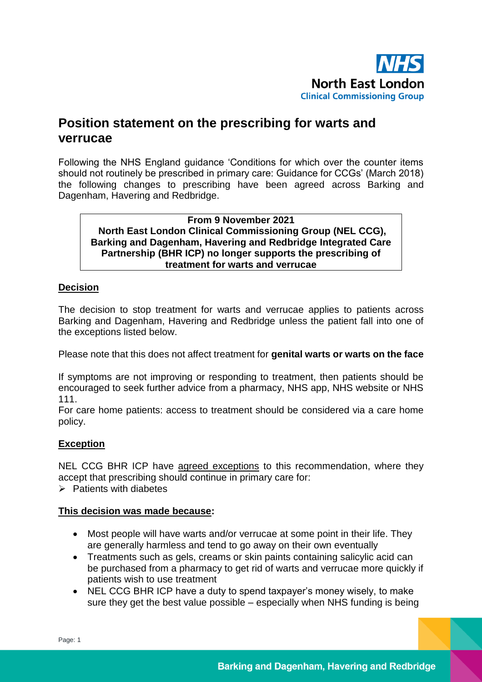

# **Position statement on the prescribing for warts and verrucae**

Following the NHS England guidance 'Conditions for which over the counter items should not routinely be prescribed in primary care: Guidance for CCGs' (March 2018) the following changes to prescribing have been agreed across Barking and Dagenham, Havering and Redbridge.

**From 9 November 2021 North East London Clinical Commissioning Group (NEL CCG), Barking and Dagenham, Havering and Redbridge Integrated Care Partnership (BHR ICP) no longer supports the prescribing of treatment for warts and verrucae**

## **Decision**

The decision to stop treatment for warts and verrucae applies to patients across Barking and Dagenham, Havering and Redbridge unless the patient fall into one of the exceptions listed below.

Please note that this does not affect treatment for **genital warts or warts on the face**

If symptoms are not improving or responding to treatment, then patients should be encouraged to seek further advice from a pharmacy, NHS app, NHS website or NHS 111.

For care home patients: access to treatment should be considered via a care home policy.

## **Exception**

NEL CCG BHR ICP have agreed exceptions to this recommendation, where they accept that prescribing should continue in primary care for:

 $\triangleright$  Patients with diabetes

### **This decision was made because:**

- Most people will have warts and/or verrucae at some point in their life. They are generally harmless and tend to go away on their own eventually
- Treatments such as gels, creams or skin paints containing salicylic acid can be purchased from a pharmacy to get rid of warts and verrucae more quickly if patients wish to use treatment
- NEL CCG BHR ICP have a duty to spend taxpayer's money wisely, to make sure they get the best value possible – especially when NHS funding is being